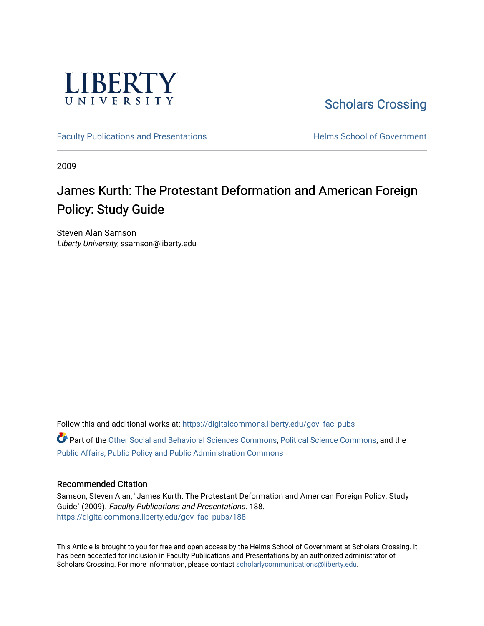

[Scholars Crossing](https://digitalcommons.liberty.edu/) 

[Faculty Publications and Presentations](https://digitalcommons.liberty.edu/gov_fac_pubs) **Exercise School of Government** 

2009

# James Kurth: The Protestant Deformation and American Foreign Policy: Study Guide

Steven Alan Samson Liberty University, ssamson@liberty.edu

Follow this and additional works at: [https://digitalcommons.liberty.edu/gov\\_fac\\_pubs](https://digitalcommons.liberty.edu/gov_fac_pubs?utm_source=digitalcommons.liberty.edu%2Fgov_fac_pubs%2F188&utm_medium=PDF&utm_campaign=PDFCoverPages) Part of the [Other Social and Behavioral Sciences Commons](http://network.bepress.com/hgg/discipline/437?utm_source=digitalcommons.liberty.edu%2Fgov_fac_pubs%2F188&utm_medium=PDF&utm_campaign=PDFCoverPages), [Political Science Commons](http://network.bepress.com/hgg/discipline/386?utm_source=digitalcommons.liberty.edu%2Fgov_fac_pubs%2F188&utm_medium=PDF&utm_campaign=PDFCoverPages), and the

[Public Affairs, Public Policy and Public Administration Commons](http://network.bepress.com/hgg/discipline/393?utm_source=digitalcommons.liberty.edu%2Fgov_fac_pubs%2F188&utm_medium=PDF&utm_campaign=PDFCoverPages)

### Recommended Citation

Samson, Steven Alan, "James Kurth: The Protestant Deformation and American Foreign Policy: Study Guide" (2009). Faculty Publications and Presentations. 188. [https://digitalcommons.liberty.edu/gov\\_fac\\_pubs/188](https://digitalcommons.liberty.edu/gov_fac_pubs/188?utm_source=digitalcommons.liberty.edu%2Fgov_fac_pubs%2F188&utm_medium=PDF&utm_campaign=PDFCoverPages)

This Article is brought to you for free and open access by the Helms School of Government at Scholars Crossing. It has been accepted for inclusion in Faculty Publications and Presentations by an authorized administrator of Scholars Crossing. For more information, please contact [scholarlycommunications@liberty.edu.](mailto:scholarlycommunications@liberty.edu)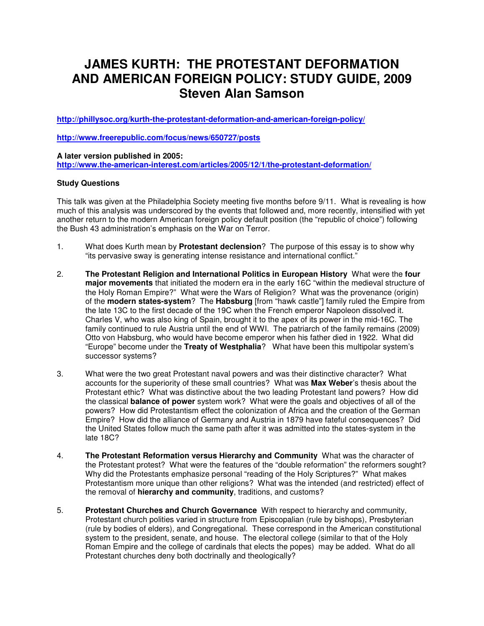## **JAMES KURTH: THE PROTESTANT DEFORMATION AND AMERICAN FOREIGN POLICY: STUDY GUIDE, 2009 Steven Alan Samson**

**http://phillysoc.org/kurth-the-protestant-deformation-and-american-foreign-policy/**

**http://www.freerepublic.com/focus/news/650727/posts**

**A later version published in 2005: http://www.the-american-interest.com/articles/2005/12/1/the-protestant-deformation/**

### **Study Questions**

This talk was given at the Philadelphia Society meeting five months before 9/11. What is revealing is how much of this analysis was underscored by the events that followed and, more recently, intensified with yet another return to the modern American foreign policy default position (the "republic of choice") following the Bush 43 administration's emphasis on the War on Terror.

- 1. What does Kurth mean by **Protestant declension**? The purpose of this essay is to show why "its pervasive sway is generating intense resistance and international conflict."
- 2. **The Protestant Religion and International Politics in European History** What were the **four major movements** that initiated the modern era in the early 16C "within the medieval structure of the Holy Roman Empire?" What were the Wars of Religion? What was the provenance (origin) of the **modern states-system**? The **Habsburg** [from "hawk castle"] family ruled the Empire from the late 13C to the first decade of the 19C when the French emperor Napoleon dissolved it. Charles V, who was also king of Spain, brought it to the apex of its power in the mid-16C. The family continued to rule Austria until the end of WWI. The patriarch of the family remains (2009) Otto von Habsburg, who would have become emperor when his father died in 1922. What did "Europe" become under the **Treaty of Westphalia**? What have been this multipolar system's successor systems?
- 3. What were the two great Protestant naval powers and was their distinctive character? What accounts for the superiority of these small countries? What was **Max Weber**'s thesis about the Protestant ethic? What was distinctive about the two leading Protestant land powers? How did the classical **balance of power** system work? What were the goals and objectives of all of the powers? How did Protestantism effect the colonization of Africa and the creation of the German Empire? How did the alliance of Germany and Austria in 1879 have fateful consequences? Did the United States follow much the same path after it was admitted into the states-system in the late 18C?
- 4. **The Protestant Reformation versus Hierarchy and Community** What was the character of the Protestant protest? What were the features of the "double reformation" the reformers sought? Why did the Protestants emphasize personal "reading of the Holy Scriptures?" What makes Protestantism more unique than other religions? What was the intended (and restricted) effect of the removal of **hierarchy and community**, traditions, and customs?
- 5. **Protestant Churches and Church Governance** With respect to hierarchy and community, Protestant church polities varied in structure from Episcopalian (rule by bishops), Presbyterian (rule by bodies of elders), and Congregational. These correspond in the American constitutional system to the president, senate, and house. The electoral college (similar to that of the Holy Roman Empire and the college of cardinals that elects the popes) may be added. What do all Protestant churches deny both doctrinally and theologically?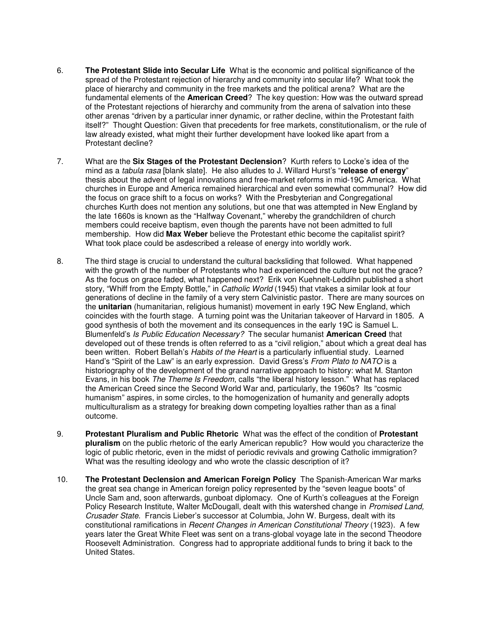- 6. **The Protestant Slide into Secular Life** What is the economic and political significance of the spread of the Protestant rejection of hierarchy and community into secular life? What took the place of hierarchy and community in the free markets and the political arena? What are the fundamental elements of the **American Creed**? The key question: How was the outward spread of the Protestant rejections of hierarchy and community from the arena of salvation into these other arenas "driven by a particular inner dynamic, or rather decline, within the Protestant faith itself?" Thought Question: Given that precedents for free markets, constitutionalism, or the rule of law already existed, what might their further development have looked like apart from a Protestant decline?
- 7. What are the **Six Stages of the Protestant Declension**? Kurth refers to Locke's idea of the mind as a tabula rasa [blank slate]. He also alludes to J. Willard Hurst's "**release of energy**" thesis about the advent of legal innovations and free-market reforms in mid-19C America. What churches in Europe and America remained hierarchical and even somewhat communal? How did the focus on grace shift to a focus on works? With the Presbyterian and Congregational churches Kurth does not mention any solutions, but one that was attempted in New England by the late 1660s is known as the "Halfway Covenant," whereby the grandchildren of church members could receive baptism, even though the parents have not been admitted to full membership. How did **Max Weber** believe the Protestant ethic become the capitalist spirit? What took place could be asdescribed a release of energy into worldly work.
- 8. The third stage is crucial to understand the cultural backsliding that followed. What happened with the growth of the number of Protestants who had experienced the culture but not the grace? As the focus on grace faded, what happened next? Erik von Kuehnelt-Leddihn published a short story, "Whiff from the Empty Bottle," in Catholic World (1945) that vtakes a similar look at four generations of decline in the family of a very stern Calvinistic pastor. There are many sources on the **unitarian** (humanitarian, religious humanist) movement in early 19C New England, which coincides with the fourth stage. A turning point was the Unitarian takeover of Harvard in 1805. A good synthesis of both the movement and its consequences in the early 19C is Samuel L. Blumenfeld's Is Public Education Necessary? The secular humanist **American Creed** that developed out of these trends is often referred to as a "civil religion," about which a great deal has been written. Robert Bellah's Habits of the Heart is a particularly influential study. Learned Hand's "Spirit of the Law" is an early expression. David Gress's From Plato to NATO is a historiography of the development of the grand narrative approach to history: what M. Stanton Evans, in his book The Theme Is Freedom, calls "the liberal history lesson." What has replaced the American Creed since the Second World War and, particularly, the 1960s? Its "cosmic humanism" aspires, in some circles, to the homogenization of humanity and generally adopts multiculturalism as a strategy for breaking down competing loyalties rather than as a final outcome.
- 9. **Protestant Pluralism and Public Rhetoric** What was the effect of the condition of **Protestant pluralism** on the public rhetoric of the early American republic? How would you characterize the logic of public rhetoric, even in the midst of periodic revivals and growing Catholic immigration? What was the resulting ideology and who wrote the classic description of it?
- 10. **The Protestant Declension and American Foreign Policy** The Spanish-American War marks the great sea change in American foreign policy represented by the "seven league boots" of Uncle Sam and, soon afterwards, gunboat diplomacy. One of Kurth's colleagues at the Foreign Policy Research Institute, Walter McDougall, dealt with this watershed change in Promised Land, Crusader State. Francis Lieber's successor at Columbia, John W. Burgess, dealt with its constitutional ramifications in Recent Changes in American Constitutional Theory (1923). A few years later the Great White Fleet was sent on a trans-global voyage late in the second Theodore Roosevelt Administration. Congress had to appropriate additional funds to bring it back to the United States.